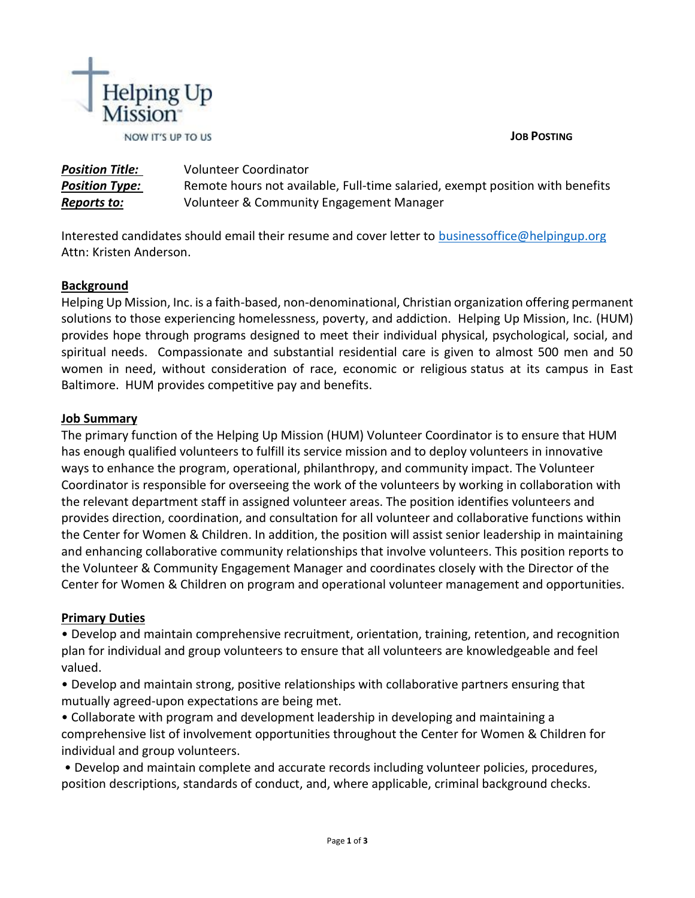



*Position Title:* Volunteer Coordinator *Position Type:* Remote hours not available, Full-time salaried, exempt position with benefits *Reports to:* Volunteer & Community Engagement Manager

Interested candidates should email their resume and cover letter to [businessoffice@helpingup.org](mailto:businessoffice@helpingup.org) Attn: Kristen Anderson.

## **Background**

Helping Up Mission, Inc. is a faith-based, non-denominational, Christian organization offering permanent solutions to those experiencing homelessness, poverty, and addiction. Helping Up Mission, Inc. (HUM) provides hope through programs designed to meet their individual physical, psychological, social, and spiritual needs. Compassionate and substantial residential care is given to almost 500 men and 50 women in need, without consideration of race, economic or religious status at its campus in East Baltimore. HUM provides competitive pay and benefits.

## **Job Summary**

The primary function of the Helping Up Mission (HUM) Volunteer Coordinator is to ensure that HUM has enough qualified volunteers to fulfill its service mission and to deploy volunteers in innovative ways to enhance the program, operational, philanthropy, and community impact. The Volunteer Coordinator is responsible for overseeing the work of the volunteers by working in collaboration with the relevant department staff in assigned volunteer areas. The position identifies volunteers and provides direction, coordination, and consultation for all volunteer and collaborative functions within the Center for Women & Children. In addition, the position will assist senior leadership in maintaining and enhancing collaborative community relationships that involve volunteers. This position reports to the Volunteer & Community Engagement Manager and coordinates closely with the Director of the Center for Women & Children on program and operational volunteer management and opportunities.

## **Primary Duties**

• Develop and maintain comprehensive recruitment, orientation, training, retention, and recognition plan for individual and group volunteers to ensure that all volunteers are knowledgeable and feel valued.

• Develop and maintain strong, positive relationships with collaborative partners ensuring that mutually agreed-upon expectations are being met.

• Collaborate with program and development leadership in developing and maintaining a comprehensive list of involvement opportunities throughout the Center for Women & Children for individual and group volunteers.

• Develop and maintain complete and accurate records including volunteer policies, procedures, position descriptions, standards of conduct, and, where applicable, criminal background checks.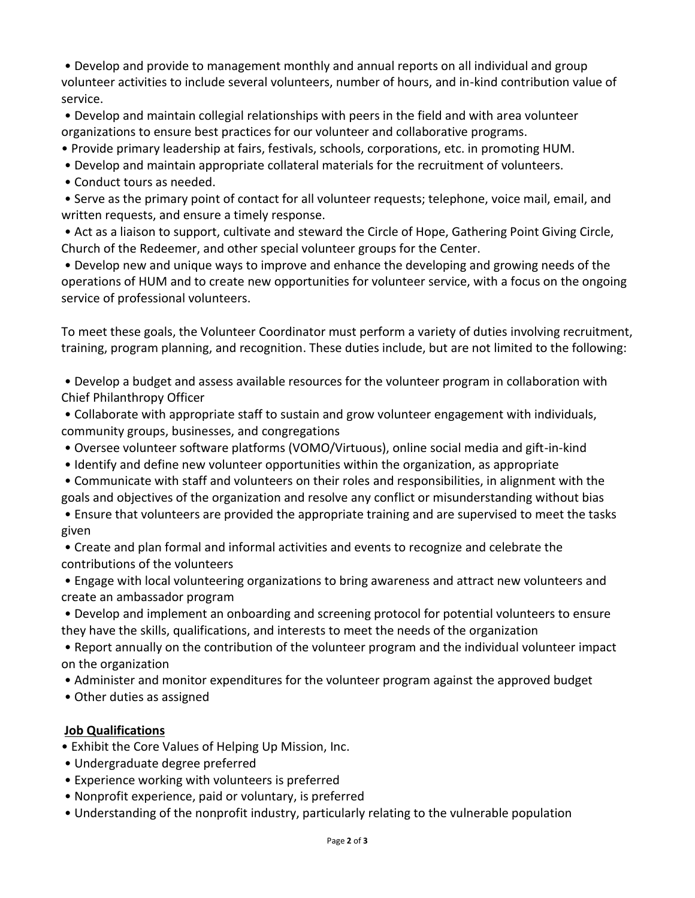• Develop and provide to management monthly and annual reports on all individual and group volunteer activities to include several volunteers, number of hours, and in-kind contribution value of service.

• Develop and maintain collegial relationships with peers in the field and with area volunteer organizations to ensure best practices for our volunteer and collaborative programs.

- Provide primary leadership at fairs, festivals, schools, corporations, etc. in promoting HUM.
- Develop and maintain appropriate collateral materials for the recruitment of volunteers.
- Conduct tours as needed.

• Serve as the primary point of contact for all volunteer requests; telephone, voice mail, email, and written requests, and ensure a timely response.

• Act as a liaison to support, cultivate and steward the Circle of Hope, Gathering Point Giving Circle, Church of the Redeemer, and other special volunteer groups for the Center.

• Develop new and unique ways to improve and enhance the developing and growing needs of the operations of HUM and to create new opportunities for volunteer service, with a focus on the ongoing service of professional volunteers.

To meet these goals, the Volunteer Coordinator must perform a variety of duties involving recruitment, training, program planning, and recognition. These duties include, but are not limited to the following:

• Develop a budget and assess available resources for the volunteer program in collaboration with Chief Philanthropy Officer

• Collaborate with appropriate staff to sustain and grow volunteer engagement with individuals, community groups, businesses, and congregations

- Oversee volunteer software platforms (VOMO/Virtuous), online social media and gift-in-kind
- Identify and define new volunteer opportunities within the organization, as appropriate

• Communicate with staff and volunteers on their roles and responsibilities, in alignment with the goals and objectives of the organization and resolve any conflict or misunderstanding without bias

• Ensure that volunteers are provided the appropriate training and are supervised to meet the tasks given

• Create and plan formal and informal activities and events to recognize and celebrate the contributions of the volunteers

• Engage with local volunteering organizations to bring awareness and attract new volunteers and create an ambassador program

• Develop and implement an onboarding and screening protocol for potential volunteers to ensure they have the skills, qualifications, and interests to meet the needs of the organization

• Report annually on the contribution of the volunteer program and the individual volunteer impact on the organization

• Administer and monitor expenditures for the volunteer program against the approved budget

• Other duties as assigned

## **Job Qualifications**

- Exhibit the Core Values of Helping Up Mission, Inc.
- Undergraduate degree preferred
- Experience working with volunteers is preferred
- Nonprofit experience, paid or voluntary, is preferred
- Understanding of the nonprofit industry, particularly relating to the vulnerable population